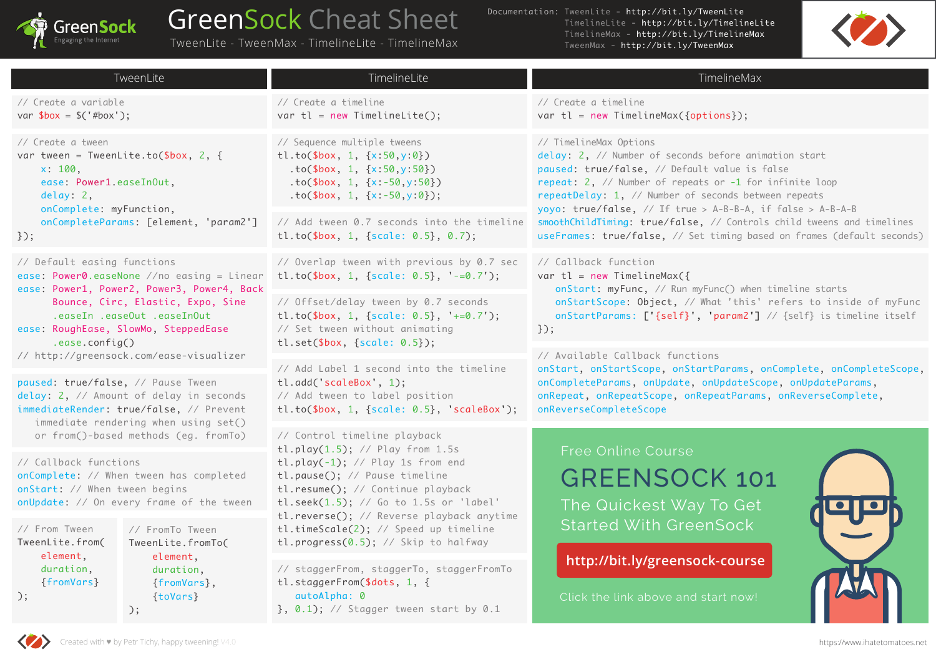

## GreenSock Cheat Sheet

TweenLite - TweenMax - TimelineLite - TimelineMax

Documentation: TweenLite - http://bit.ly/TweenLite TimelineLite - http://bit.ly/TimelineLite TimelineMax - http://bit.ly/TimelineMax TweenMax - http://bit.ly/TweenMax



| TweenLite                                                                                                                                                        | TimelineLite                                                                                                                                                                                                                                                                                                                                              | TimelineMax                                                                                                                                                                                                                                                                                                                                                                                                                                                          |  |
|------------------------------------------------------------------------------------------------------------------------------------------------------------------|-----------------------------------------------------------------------------------------------------------------------------------------------------------------------------------------------------------------------------------------------------------------------------------------------------------------------------------------------------------|----------------------------------------------------------------------------------------------------------------------------------------------------------------------------------------------------------------------------------------------------------------------------------------------------------------------------------------------------------------------------------------------------------------------------------------------------------------------|--|
| // Create a variable<br>var $$box = $({' \#box})$ ;                                                                                                              | // Create a timeline<br>var $tl = new TimelineLife();$                                                                                                                                                                                                                                                                                                    | // Create a timeline<br>var $tl = new TimelineMax({options})$ ;                                                                                                                                                                                                                                                                                                                                                                                                      |  |
| // Create a tween<br>var tween = TweenLite.to( $$box, 2, {\}$<br>x: 100,<br>ease: Power1.easeInOut,<br>delay: 2,<br>onComplete: myFunction,                      | // Sequence multiple tweens<br>tl.to(\$box, 1, ${x:50,y:0}$ )<br>$to$ (\$box, 1, {x:50,y:50})<br>$to ($box, 1, {x:-50, y:50})$<br>.to(\$box, 1, ${x:-50, y:0})$ ;                                                                                                                                                                                         | // TimelineMax Options<br>delay: 2, // Number of seconds before animation start<br>paused: true/false, // Default value is false<br>repeat: 2, // Number of repeats or -1 for infinite loop<br>repeatDelay: 1, // Number of seconds between repeats<br>yoyo: true/false, // If true > A-B-B-A, if false > A-B-A-B<br>smoothChildTiming: true/false, // Controls child tweens and timelines<br>useFrames: true/false, // Set timing based on frames (default seconds) |  |
| onCompleteParams: [element, 'param2']<br>$\}$ );                                                                                                                 | // Add tween 0.7 seconds into the timeline<br>tl.to(\$box, 1, {scale: $0.5$ }, $0.7$ );                                                                                                                                                                                                                                                                   |                                                                                                                                                                                                                                                                                                                                                                                                                                                                      |  |
| // Default easing functions<br>ease: Power0.easeNone $//no$ easing = Linear<br>ease: Power1, Power2, Power3, Power4, Back                                        | // Overlap tween with previous by 0.7 sec<br>tl.to(\$box, 1, {scale: $0.5$ }, '-=0.7');                                                                                                                                                                                                                                                                   | // Callback function<br>var tl = new TimelineMax( $\{$<br>onStart: myFunc, // Run myFunc() when timeline starts<br>onStartScope: Object, // What 'this' refers to inside of myFunc<br>onStartParams: ['{self}', 'param2'] // {self} is timeline itself<br>$3$ );                                                                                                                                                                                                     |  |
| Bounce, Circ, Elastic, Expo, Sine<br>.easeIn .easeOut .easeInOut<br>ease: RoughEase, SlowMo, SteppedEase<br>.ease.config()                                       | // Offset/delay tween by 0.7 seconds<br>tl.to(\$box, 1, {scale: $0.5$ }, '+=0.7');<br>// Set tween without animating<br>tl.set( $$box, {scale: 0.5}});$                                                                                                                                                                                                   |                                                                                                                                                                                                                                                                                                                                                                                                                                                                      |  |
| // http://greensock.com/ease-visualizer                                                                                                                          |                                                                                                                                                                                                                                                                                                                                                           | // Available Callback functions<br>onStart, onStartScope, onStartParams, onComplete, onCompleteScope,<br>onCompleteParams, onUpdate, onUpdateScope, onUpdateParams,<br>onRepeat, onRepeatScope, onRepeatParams, onReverseComplete,<br>onReverseCompleteScope                                                                                                                                                                                                         |  |
| paused: true/false, // Pause Tween<br>delay: 2, // Amount of delay in seconds<br>immediateRender: true/false, // Prevent<br>immediate rendering when using set() | // Add Label 1 second into the timeline<br>tl.add('scaleBox', 1);<br>// Add tween to label position<br>$tl.to(\$box, 1, \{scale: 0.5\}, 'scaleBox');$                                                                                                                                                                                                     |                                                                                                                                                                                                                                                                                                                                                                                                                                                                      |  |
| or from()-based methods (eg. fromTo)                                                                                                                             | // Control timeline playback<br>tl.play $(1.5)$ ; // Play from 1.5s<br>$tl.py(-1);$ // Play 1s from end<br>tl.pause(); // Pause timeline<br>tl.resume(); // Continue playback<br>tl.seek $(1.5)$ ; // Go to 1.5s or 'label'<br>tl.reverse(); // Reverse playback anytime<br>tl.timeScale(2); // Speed up timeline<br>tl.progress(0.5); // Skip to halfway |                                                                                                                                                                                                                                                                                                                                                                                                                                                                      |  |
| // Callback functions<br>onComplete: // When tween has completed<br>onStart: // When tween begins<br>onUpdate: // On every frame of the tween                    |                                                                                                                                                                                                                                                                                                                                                           | Free Online Course<br><b>GREENSOCK 101</b><br>The Quickest Way To Get                                                                                                                                                                                                                                                                                                                                                                                                |  |
| // From Tween<br>// FromTo Tween<br>TweenLite.from(<br>TweenLite.fromTo(                                                                                         |                                                                                                                                                                                                                                                                                                                                                           | <b>Started With GreenSock</b>                                                                                                                                                                                                                                                                                                                                                                                                                                        |  |
| element,<br>element,<br>duration,<br>duration,<br>{fromVars}<br>{fromVars},<br>$\{toVars\}$<br>$\cdot$ $\cdot$<br>$\cdot$ $\cdot$                                | // staggerFrom, staggerTo, staggerFromTo<br>tl.staggerFrom(\$dots, 1, {<br>autoAlpha: 0<br>$\}$ , 0.1); // Stagger tween start by 0.1                                                                                                                                                                                                                     | http://bit.ly/greensock-course<br>Click the link above and start now!                                                                                                                                                                                                                                                                                                                                                                                                |  |